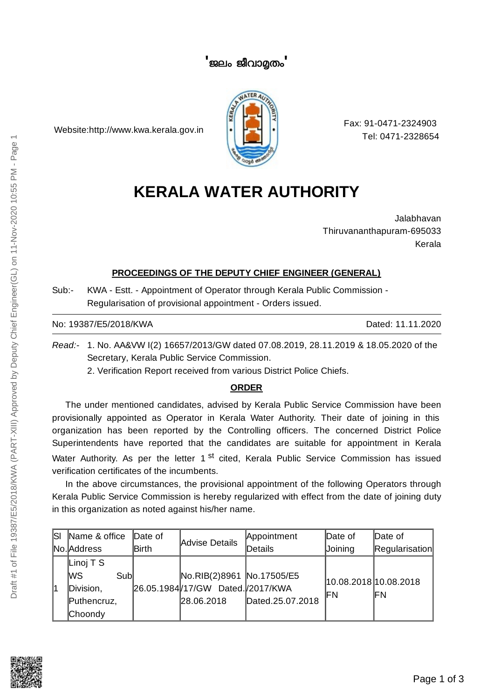## **'** ജലം ജീവാതം **'**

Website:http://www.kwa.kerala.gov.in



Fax: 91-0471-2324903 Tel: 0471-2328654

## **KERALA WATER AUTHORITY**

Jalabhavan Thiruvananthapuram-695033 Kerala

## **PROCEEDINGS OF THE DEPUTY CHIEF ENGINEER (GENERAL)**

Sub:- KWA - Estt. - Appointment of Operator through Kerala Public Commission - Regularisation of provisional appointment - Orders issued.

No: 19387/E5/2018/KWA Dated: 11.11.2020

*Read:-* 1. No. AA&VW I(2) 16657/2013/GW dated 07.08.2019, 28.11.2019 & 18.05.2020 of the Secretary, Kerala Public Service Commission.

2. Verification Report received from various District Police Chiefs.

## **ORDER**

The under mentioned candidates, advised by Kerala Public Service Commission have been provisionally appointed as Operator in Kerala Water Authority. Their date of joining in this organization has been reported by the Controlling officers. The concerned District Police Superintendents have reported that the candidates are suitable for appointment in Kerala Water Authority. As per the letter 1 <sup>st</sup> cited, Kerala Public Service Commission has issued verification certificates of the incumbents.

In the above circumstances, the provisional appointment of the following Operators through Kerala Public Service Commission is hereby regularized with effect from the date of joining duty in this organization as noted against his/her name.

| lsı | Name & office | Date of      | Advise Details                   | Appointment      | Date of                      | Date of        |
|-----|---------------|--------------|----------------------------------|------------------|------------------------------|----------------|
|     | No. Address   | <b>Birth</b> |                                  | Details          | Joining                      | Regularisation |
| 1   | Linoj T S     |              |                                  |                  | 10.08.2018 10.08.2018<br>ΙFΝ | IFN            |
|     | lWS<br>Subl   |              | No.RIB(2)8961 No.17505/E5        |                  |                              |                |
|     | Division,     |              | 26.05.1984/17/GW Dated./2017/KWA |                  |                              |                |
|     | Puthencruz,   |              | 28.06.2018                       | Dated.25.07.2018 |                              |                |
|     | Choondy       |              |                                  |                  |                              |                |

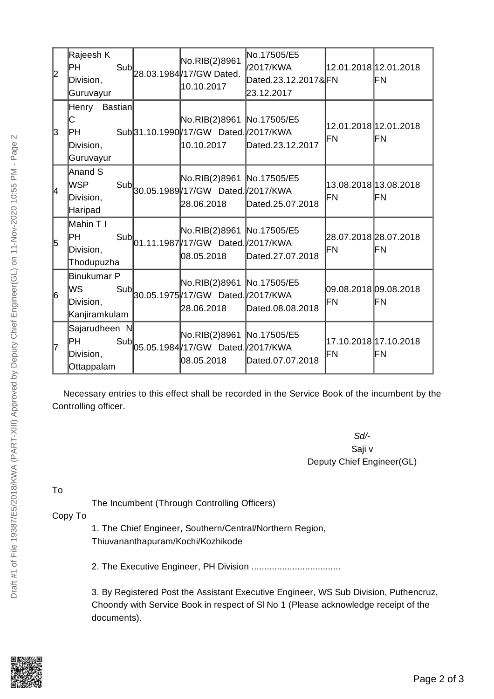| 2  | Rajeesh K<br>IРН<br>Division,<br>Guruvayur               |                | No.RIB(2)8961<br>Sub<br>28.03.1984 17/ GW Dated.<br>10.10.2017                                | No.17505/E5<br>/2017/KWA<br>Dated.23.12.2017&FN<br>23.12.2017 | 12.01.2018 12.01.2018       | lΕN |
|----|----------------------------------------------------------|----------------|-----------------------------------------------------------------------------------------------|---------------------------------------------------------------|-----------------------------|-----|
| lз | Henry<br>C<br>IРH<br>Division,<br>Guruvayur              | <b>Bastian</b> | No.RIB(2)8961 No.17505/E5<br>Sub31.10.1990 / 17/ GW Dated. / 2017/ KWA<br>10.10.2017          | Dated.23.12.2017                                              | 12.01.2018 12.01.2018<br>FN | lΕN |
| 4  | Anand S<br><b>WSP</b><br>Division,<br>Haripad            |                | No.RIB(2)8961 No.17505/E5<br>Sub<br>30.05.1989 17/GW Dated 2017/KWA<br>28.06.2018             | Dated.25.07.2018                                              | 13.08.2018 13.08.2018<br>FN | ⊫Ν  |
| 5  | Mahin T I<br>IPH.<br>Division,<br>Thodupuzha             |                | No.RIB(2)8961 No.17505/E5<br>Sub<br>01.11.1987 17/GW Dated 2017/KWA<br>08.05.2018             | Dated.27.07.2018                                              | 28.07.2018 28.07.2018<br>FN | IFΝ |
| 6  | <b>Binukumar P</b><br>lws.<br>Division,<br>Kanjiramkulam |                | No.RIB(2)8961 No.17505/E5<br>Sub <br>30.05.1975 /17/GW Dated. /2017/KWA<br>28.06.2018         | Dated.08.08.2018                                              | 09.08.2018 09.08.2018<br>FN | lΕN |
| 7  | Sajarudheen N<br>IРH<br>Division,<br>Ottappalam          |                | No.RIB(2)8961 No.17505/E5<br>Sub $\vert_{05.05.1984}\vert$ 17/GW Dated 2017/KWA<br>08.05.2018 | Dated.07.07.2018                                              | 17.10.2018 17.10.2018<br>FN | lΕN |

Necessary entries to this effect shall be recorded in the Service Book of the incumbent by the Controlling officer.

> *Sd/-* Saji v Deputy Chief Engineer(GL)

To

The Incumbent (Through Controlling Officers)

Copy To

1. The Chief Engineer, Southern/Central/Northern Region, Thiuvananthapuram/Kochi/Kozhikode

2. The Executive Engineer, PH Division ...................................

3. By Registered Post the Assistant Executive Engineer, WS Sub Division, Puthencruz, Choondy with Service Book in respect of Sl No 1 (Please acknowledge receipt of the documents).